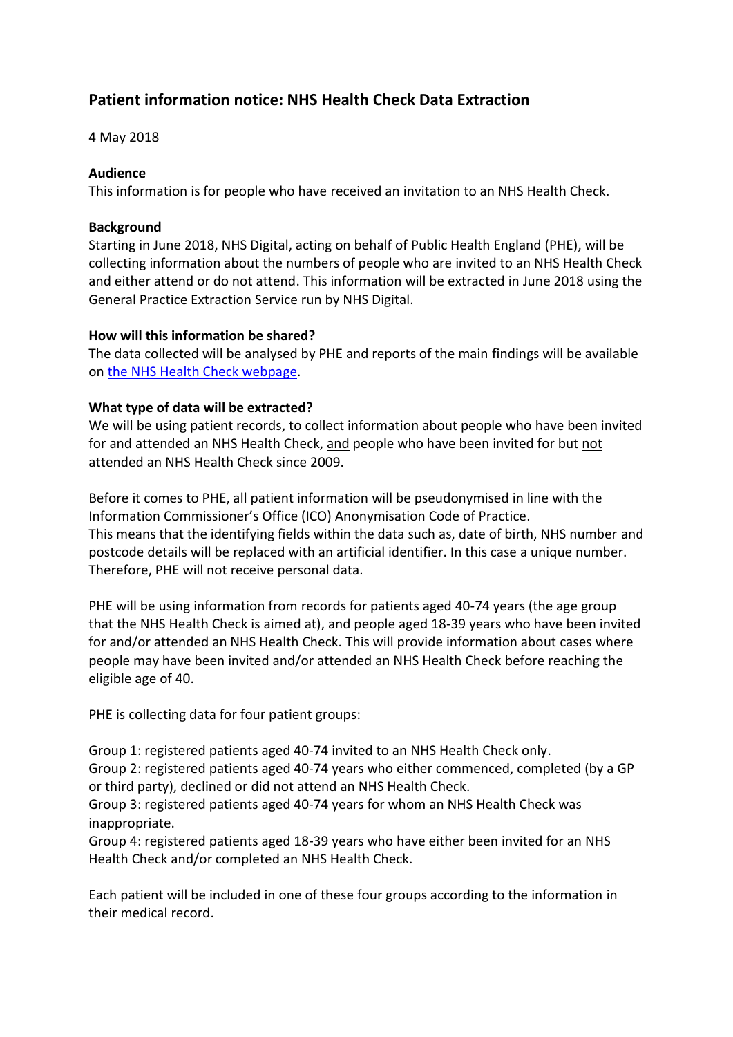# **Patient information notice: NHS Health Check Data Extraction**

4 May 2018

## **Audience**

This information is for people who have received an invitation to an NHS Health Check.

## **Background**

Starting in June 2018, NHS Digital, acting on behalf of Public Health England (PHE), will be collecting information about the numbers of people who are invited to an NHS Health Check and either attend or do not attend. This information will be extracted in June 2018 using the General Practice Extraction Service run by NHS Digital.

## **How will this information be shared?**

The data collected will be analysed by PHE and reports of the main findings will be available on [the NHS Health Check webpage.](https://www.healthcheck.nhs.uk/commissioners_and_providers/data/nhs_health_check_data_extract/)

## **What type of data will be extracted?**

We will be using patient records, to collect information about people who have been invited for and attended an NHS Health Check, and people who have been invited for but not attended an NHS Health Check since 2009.

Before it comes to PHE, all patient information will be pseudonymised in line with the Information Commissioner's Office (ICO) Anonymisation Code of Practice. This means that the identifying fields within the data such as, date of birth, NHS number and postcode details will be replaced with an artificial identifier. In this case a unique number. Therefore, PHE will not receive personal data.

PHE will be using information from records for patients aged 40-74 years (the age group that the NHS Health Check is aimed at), and people aged 18-39 years who have been invited for and/or attended an NHS Health Check. This will provide information about cases where people may have been invited and/or attended an NHS Health Check before reaching the eligible age of 40.

PHE is collecting data for four patient groups:

Group 1: registered patients aged 40-74 invited to an NHS Health Check only.

Group 2: registered patients aged 40-74 years who either commenced, completed (by a GP or third party), declined or did not attend an NHS Health Check.

Group 3: registered patients aged 40-74 years for whom an NHS Health Check was inappropriate.

Group 4: registered patients aged 18-39 years who have either been invited for an NHS Health Check and/or completed an NHS Health Check.

Each patient will be included in one of these four groups according to the information in their medical record.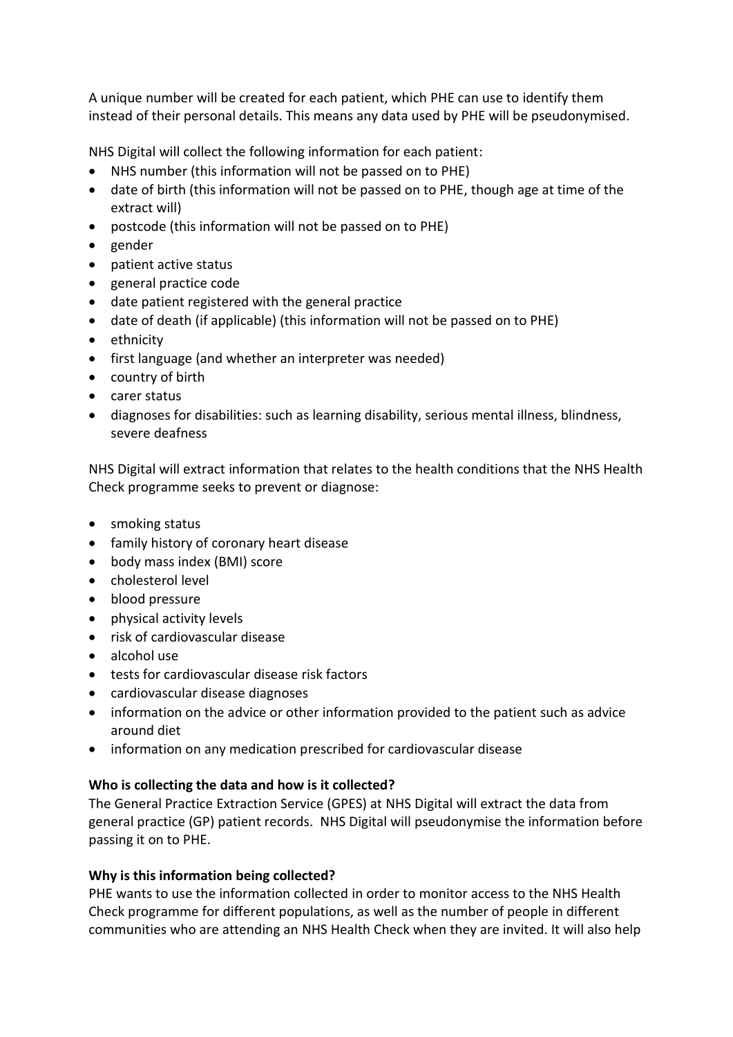A unique number will be created for each patient, which PHE can use to identify them instead of their personal details. This means any data used by PHE will be pseudonymised.

NHS Digital will collect the following information for each patient:

- NHS number (this information will not be passed on to PHE)
- date of birth (this information will not be passed on to PHE, though age at time of the extract will)
- postcode (this information will not be passed on to PHE)
- gender
- $\bullet$  patient active status
- general practice code
- date patient registered with the general practice
- date of death (if applicable) (this information will not be passed on to PHE)
- ethnicity
- first language (and whether an interpreter was needed)
- country of birth
- carer status
- diagnoses for disabilities: such as learning disability, serious mental illness, blindness, severe deafness

NHS Digital will extract information that relates to the health conditions that the NHS Health Check programme seeks to prevent or diagnose:

- smoking status
- family history of coronary heart disease
- body mass index (BMI) score
- cholesterol level
- blood pressure
- physical activity levels
- risk of cardiovascular disease
- alcohol use
- tests for cardiovascular disease risk factors
- cardiovascular disease diagnoses
- information on the advice or other information provided to the patient such as advice around diet
- information on any medication prescribed for cardiovascular disease

### **Who is collecting the data and how is it collected?**

The General Practice Extraction Service (GPES) at NHS Digital will extract the data from general practice (GP) patient records. NHS Digital will pseudonymise the information before passing it on to PHE.

### **Why is this information being collected?**

PHE wants to use the information collected in order to monitor access to the NHS Health Check programme for different populations, as well as the number of people in different communities who are attending an NHS Health Check when they are invited. It will also help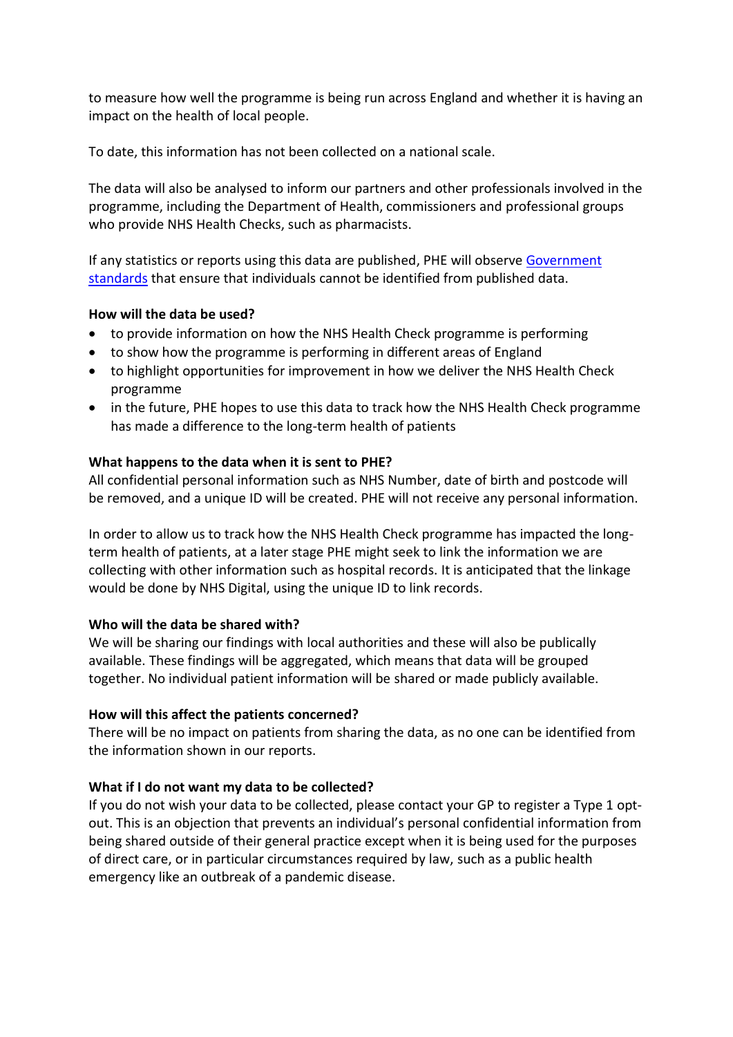to measure how well the programme is being run across England and whether it is having an impact on the health of local people.

To date, this information has not been collected on a national scale.

The data will also be analysed to inform our partners and other professionals involved in the programme, including the Department of Health, commissioners and professional groups who provide NHS Health Checks, such as pharmacists.

If any statistics or reports using this data are published, PHE will observe Government [standards](https://gss.civilservice.gov.uk/statistics/methodology-2/statistical-disclosure-control/) that ensure that individuals cannot be identified from published data.

## **How will the data be used?**

- to provide information on how the NHS Health Check programme is performing
- to show how the programme is performing in different areas of England
- to highlight opportunities for improvement in how we deliver the NHS Health Check programme
- in the future, PHE hopes to use this data to track how the NHS Health Check programme has made a difference to the long-term health of patients

### **What happens to the data when it is sent to PHE?**

All confidential personal information such as NHS Number, date of birth and postcode will be removed, and a unique ID will be created. PHE will not receive any personal information.

In order to allow us to track how the NHS Health Check programme has impacted the longterm health of patients, at a later stage PHE might seek to link the information we are collecting with other information such as hospital records. It is anticipated that the linkage would be done by NHS Digital, using the unique ID to link records.

### **Who will the data be shared with?**

We will be sharing our findings with local authorities and these will also be publically available. These findings will be aggregated, which means that data will be grouped together. No individual patient information will be shared or made publicly available.

### **How will this affect the patients concerned?**

There will be no impact on patients from sharing the data, as no one can be identified from the information shown in our reports.

# **What if I do not want my data to be collected?**

If you do not wish your data to be collected, please contact your GP to register a Type 1 optout. This is an objection that prevents an individual's personal confidential information from being shared outside of their general practice except when it is being used for the purposes of direct care, or in particular circumstances required by law, such as a public health emergency like an outbreak of a pandemic disease.